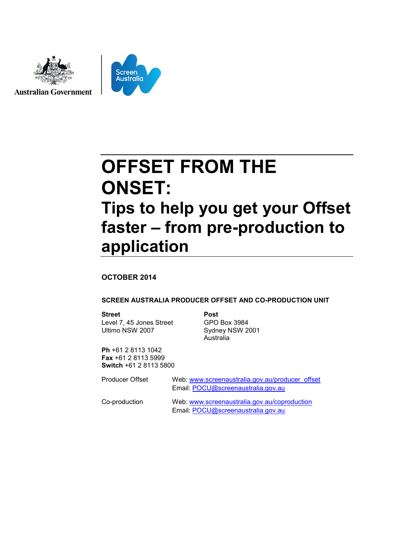



# **OFFSET FROM THE ONSET: Tips to help you get your Offset faster – from pre-production to application**

#### **OCTOBER 2014**

#### **SCREEN AUSTRALIA PRODUCER OFFSET AND CO-PRODUCTION UNIT**

#### **Street Post**

Level 7, 45 Jones Street Ultimo NSW 2007

GPO Box 3984 Sydney NSW 2001 Australia

**Ph** +61 2 8113 1042 **Fax** +61 2 8113 5999 **Switch** +61 2 8113 5800

| Producer Offset | Web: www.screenaustralia.gov.au/producer_offset<br>Email: POCU@screenaustralia.gov.au |
|-----------------|---------------------------------------------------------------------------------------|
| Co-production   | Web: www.screenaustralia.gov.au/coproduction<br>Email: POCU@screenaustralia.gov.au    |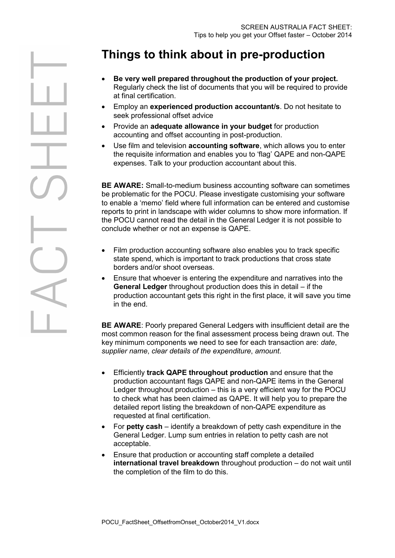# **Things to think about in pre-production**

- **Be very well prepared throughout the production of your project.** Regularly check the list of documents that you will be required to provide at final certification.
- Employ an **experienced production accountant/s**. Do not hesitate to seek professional offset advice
- Provide an **adequate allowance in your budget** for production accounting and offset accounting in post-production.
- Use film and television **accounting software**, which allows you to enter the requisite information and enables you to 'flag' QAPE and non-QAPE expenses. Talk to your production accountant about this.

**BE AWARE:** Small-to-medium business accounting software can sometimes be problematic for the POCU. Please investigate customising your software to enable a 'memo' field where full information can be entered and customise reports to print in landscape with wider columns to show more information. If the POCU cannot read the detail in the General Ledger it is not possible to conclude whether or not an expense is QAPE.

- Film production accounting software also enables you to track specific state spend, which is important to track productions that cross state borders and/or shoot overseas.
- Ensure that whoever is entering the expenditure and narratives into the **General Ledger** throughout production does this in detail – if the production accountant gets this right in the first place, it will save you time in the end.

**BE AWARE**: Poorly prepared General Ledgers with insufficient detail are the most common reason for the final assessment process being drawn out. The key minimum components we need to see for each transaction are: *date*, *supplier name*, *clear details of the expenditure*, *amount*.

- Efficiently **track QAPE throughout production** and ensure that the production accountant flags QAPE and non-QAPE items in the General Ledger throughout production – this is a very efficient way for the POCU to check what has been claimed as QAPE. It will help you to prepare the detailed report listing the breakdown of non-QAPE expenditure as requested at final certification.
- For **petty cash**  identify a breakdown of petty cash expenditure in the General Ledger. Lump sum entries in relation to petty cash are not acceptable.
- Ensure that production or accounting staff complete a detailed **international travel breakdown** throughout production – do not wait until the completion of the film to do this.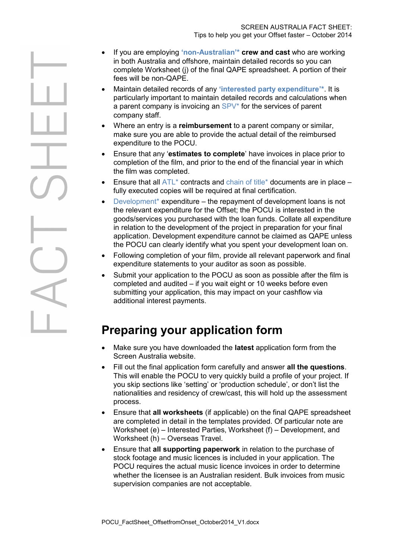- If you are employing **'non[-Australian](#page-3-0)'\* crew and cast** who are working in both Australia and offshore, maintain detailed records so you can complete Worksheet (j) of the final QAPE spreadsheet. A portion of their fees will be non-QAPE.
- Maintain detailed records of any **['interested party expenditure'](#page-3-0)\***. It is particularly important to maintain detailed records and calculations when a parent company is invoicing an [SPV\\*](#page-3-0) for the services of parent company staff.
- Where an entry is a **reimbursement** to a parent company or similar, make sure you are able to provide the actual detail of the reimbursed expenditure to the POCU.
- Ensure that any '**estimates to complete**' have invoices in place prior to completion of the film, and prior to the end of the financial year in which the film was completed.
- Ensure that all  $ATL^*$  contracts and [chain of title\\*](#page-3-0) documents are in place fully executed copies will be required at final certification.
- Development<sup>\*</sup> expenditure the repayment of development loans is not the relevant expenditure for the Offset; the POCU is interested in the goods/services you purchased with the loan funds. Collate all expenditure in relation to the development of the project in preparation for your final application. Development expenditure cannot be claimed as QAPE unless the POCU can clearly identify what you spent your development loan on.
- Following completion of your film, provide all relevant paperwork and final expenditure statements to your auditor as soon as possible.
- Submit your application to the POCU as soon as possible after the film is completed and audited – if you wait eight or 10 weeks before even submitting your application, this may impact on your cashflow via additional interest payments.

## **Preparing your application form**

- Make sure you have downloaded the **latest** application form from the Screen Australia website.
- Fill out the final application form carefully and answer **all the questions**. This will enable the POCU to very quickly build a profile of your project. If you skip sections like 'setting' or 'production schedule', or don't list the nationalities and residency of crew/cast, this will hold up the assessment process.
- Ensure that **all worksheets** (if applicable) on the final QAPE spreadsheet are completed in detail in the templates provided. Of particular note are Worksheet (e) – Interested Parties, Worksheet (f) – Development, and Worksheet (h) – Overseas Travel.
- Ensure that **all supporting paperwork** in relation to the purchase of stock footage and music licences is included in your application. The POCU requires the actual music licence invoices in order to determine whether the licensee is an Australian resident. Bulk invoices from music supervision companies are not acceptable.